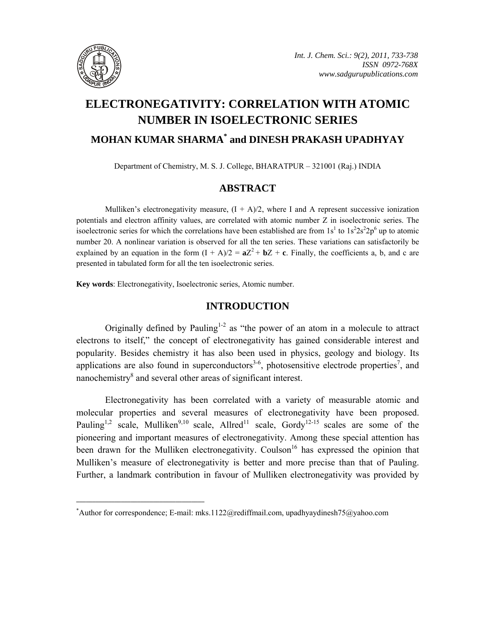

# **ELECTRONEGATIVITY: CORRELATION WITH ATOMIC NUMBER IN ISOELECTRONIC SERIES MOHAN KUMAR SHARMA\* and DINESH PRAKASH UPADHYAY**

Department of Chemistry, M. S. J. College, BHARATPUR – 321001 (Raj.) INDIA

## **ABSTRACT**

Mulliken's electronegativity measure,  $(I + A)/2$ , where I and A represent successive ionization potentials and electron affinity values, are correlated with atomic number Z in isoelectronic series. The isoelectronic series for which the correlations have been established are from  $1s<sup>1</sup>$  to  $1s<sup>2</sup>2s<sup>2</sup>2p<sup>6</sup>$  up to atomic number 20. A nonlinear variation is observed for all the ten series. These variations can satisfactorily be explained by an equation in the form  $(I + A)/2 = aZ^2 + bZ + c$ . Finally, the coefficients a, b, and c are presented in tabulated form for all the ten isoelectronic series.

**Key words**: Electronegativity, Isoelectronic series, Atomic number.

**\_\_\_\_\_\_\_\_\_\_\_\_\_\_\_\_\_\_\_\_\_\_\_\_\_\_\_\_\_\_\_\_\_\_\_\_\_\_\_\_**

### **INTRODUCTION**

Originally defined by Pauling<sup>1-2</sup> as "the power of an atom in a molecule to attract electrons to itself," the concept of electronegativity has gained considerable interest and popularity. Besides chemistry it has also been used in physics, geology and biology. Its applications are also found in superconductors<sup>3-6</sup>, photosensitive electrode properties<sup>7</sup>, and nanochemistry<sup>8</sup> and several other areas of significant interest.

Electronegativity has been correlated with a variety of measurable atomic and molecular properties and several measures of electronegativity have been proposed. Pauling<sup>1,2</sup> scale, Mulliken<sup>9,10</sup> scale, Allred<sup>11</sup> scale, Gordy<sup>12-15</sup> scales are some of the pioneering and important measures of electronegativity. Among these special attention has been drawn for the Mulliken electronegativity. Coulson<sup>16</sup> has expressed the opinion that Mulliken's measure of electronegativity is better and more precise than that of Pauling. Further, a landmark contribution in favour of Mulliken electronegativity was provided by

<sup>\*</sup> Author for correspondence; E-mail: mks.1122@rediffmail.com, upadhyaydinesh75@yahoo.com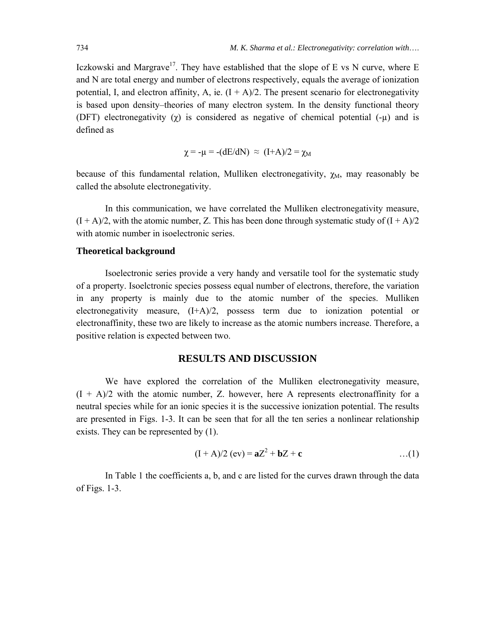Iczkowski and Margrave<sup>17</sup>. They have established that the slope of E vs N curve, where E and N are total energy and number of electrons respectively, equals the average of ionization potential, I, and electron affinity, A, ie.  $(I + A)/2$ . The present scenario for electronegativity is based upon density–theories of many electron system. In the density functional theory (DFT) electronegativity  $(\gamma)$  is considered as negative of chemical potential  $(-\mu)$  and is defined as

$$
\chi = -\mu = -(dE/dN) \approx (I+A)/2 = \chi_M
$$

because of this fundamental relation, Mulliken electronegativity,  $\chi_M$ , may reasonably be called the absolute electronegativity.

In this communication, we have correlated the Mulliken electronegativity measure,  $(I + A)/2$ , with the atomic number, Z. This has been done through systematic study of  $(I + A)/2$ with atomic number in isoelectronic series.

#### **Theoretical background**

Isoelectronic series provide a very handy and versatile tool for the systematic study of a property. Isoelctronic species possess equal number of electrons, therefore, the variation in any property is mainly due to the atomic number of the species. Mulliken electronegativity measure, (I+A)/2, possess term due to ionization potential or electronaffinity, these two are likely to increase as the atomic numbers increase. Therefore, a positive relation is expected between two.

#### **RESULTS AND DISCUSSION**

We have explored the correlation of the Mulliken electronegativity measure,  $(I + A)/2$  with the atomic number, Z. however, here A represents electronaffinity for a neutral species while for an ionic species it is the successive ionization potential. The results are presented in Figs. 1-3. It can be seen that for all the ten series a nonlinear relationship exists. They can be represented by (1).

$$
(I + A)/2 (ev) = aZ2 + bZ + c
$$
...(1)

In Table 1 the coefficients a, b, and c are listed for the curves drawn through the data of Figs. 1-3.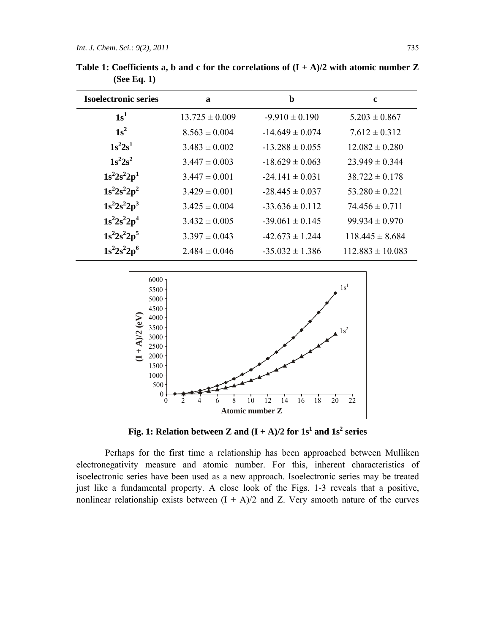| <b>Isoelectronic series</b> | $\mathbf{a}$       | b                   | $\mathbf c$          |
|-----------------------------|--------------------|---------------------|----------------------|
| 1s <sup>1</sup>             | $13.725 \pm 0.009$ | $-9.910 \pm 0.190$  | $5.203 \pm 0.867$    |
| $1s^2$                      | $8.563 \pm 0.004$  | $-14.649 \pm 0.074$ | $7.612 \pm 0.312$    |
| $1s^2 2s^1$                 | $3.483 \pm 0.002$  | $-13.288 \pm 0.055$ | $12.082 \pm 0.280$   |
| $1s^22s^2$                  | $3.447 \pm 0.003$  | $-18.629 \pm 0.063$ | $23.949 \pm 0.344$   |
| $1s^2 2s^2 2p^1$            | $3.447 \pm 0.001$  | $-24.141 \pm 0.031$ | $38.722 \pm 0.178$   |
| $1s^22s^22p^2$              | $3.429 \pm 0.001$  | $-28.445 \pm 0.037$ | $53.280 \pm 0.221$   |
| $1s^22s^22p^3$              | $3.425 \pm 0.004$  | $-33.636 \pm 0.112$ | $74.456 \pm 0.711$   |
| $1s^22s^22p^4$              | $3.432 \pm 0.005$  | $-39.061 \pm 0.145$ | $99.934 \pm 0.970$   |
| $1s^22s^22p^5$              | $3.397 \pm 0.043$  | $-42.673 \pm 1.244$ | $118.445 \pm 8.684$  |
| $1s^22s^22p^6$              | $2.484 \pm 0.046$  | $-35.032 \pm 1.386$ | $112.883 \pm 10.083$ |
|                             |                    |                     |                      |

Table 1: Coefficients a, b and c for the correlations of  $(I + A)/2$  with atomic number Z **(See Eq. 1)** 



Fig. 1: Relation between Z and  $(I + A)/2$  for  $1s<sup>1</sup>$  and  $1s<sup>2</sup>$  series

Perhaps for the first time a relationship has been approached between Mulliken electronegativity measure and atomic number. For this, inherent characteristics of isoelectronic series have been used as a new approach. Isoelectronic series may be treated just like a fundamental property. A close look of the Figs. 1-3 reveals that a positive, nonlinear relationship exists between  $(I + A)/2$  and Z. Very smooth nature of the curves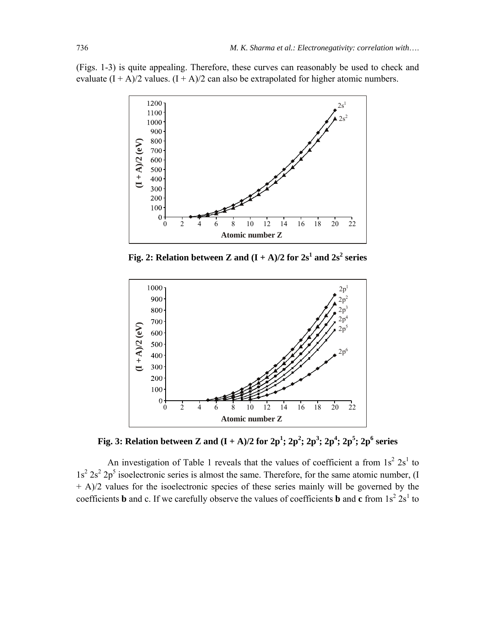(Figs. 1-3) is quite appealing. Therefore, these curves can reasonably be used to check and evaluate  $(I + A)/2$  values.  $(I + A)/2$  can also be extrapolated for higher atomic numbers.



**Fig. 2: Relation between Z and**  $(I + A)/2$  **for**  $2s^1$  **and**  $2s^2$  **series** 



**Fig. 3: Relation between Z and**  $(I + A)/2$  **for**  $2p^1$ **;**  $2p^2$ **;**  $2p^3$ **;**  $2p^4$ **;**  $2p^5$ **;**  $2p^6$  **series** 

An investigation of Table 1 reveals that the values of coefficient a from  $1s^2 2s^1$  to  $1s^2$   $2s^2$   $2p^5$  isoelectronic series is almost the same. Therefore, for the same atomic number, (I + A)/2 values for the isoelectronic species of these series mainly will be governed by the coefficients **b** and c. If we carefully observe the values of coefficients **b** and **c** from  $1s^2 2s^1$  to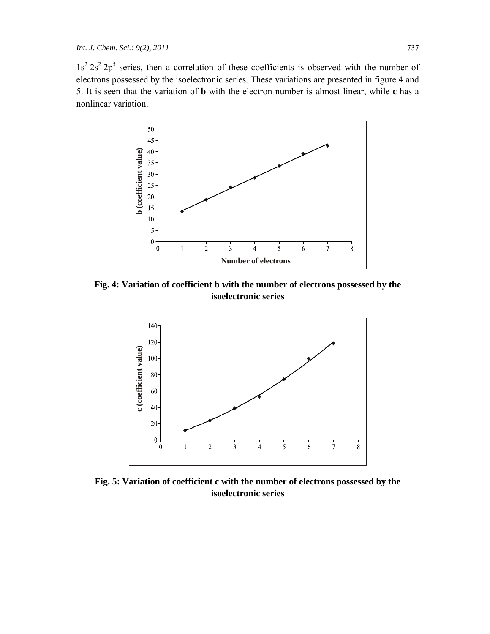$1s^2 2s^2 2p^5$  series, then a correlation of these coefficients is observed with the number of electrons possessed by the isoelectronic series. These variations are presented in figure 4 and 5. It is seen that the variation of **b** with the electron number is almost linear, while **c** has a nonlinear variation.



**Fig. 4: Variation of coefficient b with the number of electrons possessed by the isoelectronic series** 



**Fig. 5: Variation of coefficient c with the number of electrons possessed by the isoelectronic series**